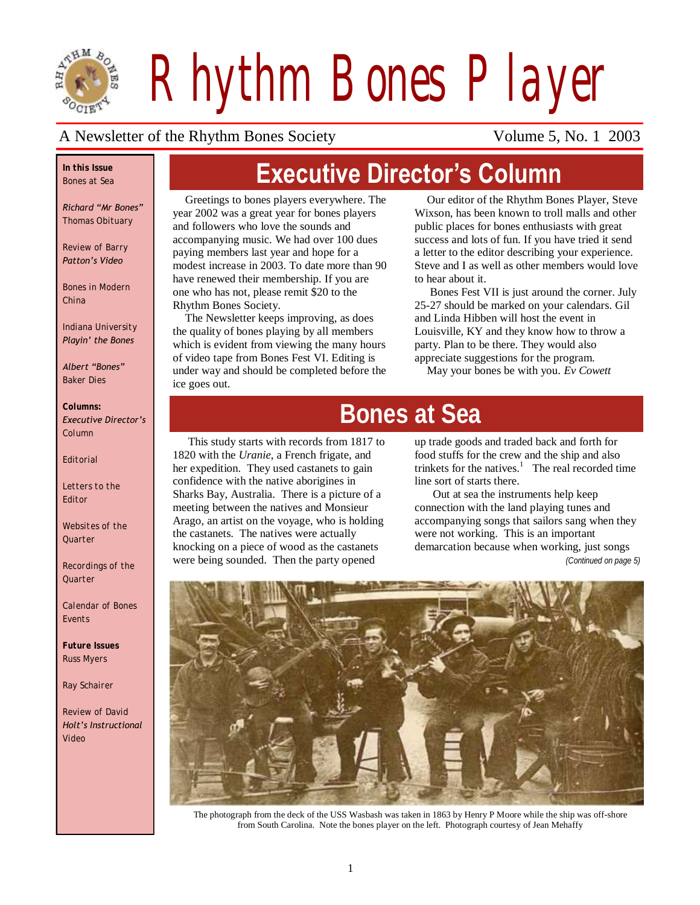

*Rhythm Bones Player*

**Executive Director's Column**

#### A Newsletter of the Rhythm Bones Society Volume 5, No. 1 2003

#### *In this Issue Bones at Sea*

*Richard "Mr Bones" Thomas Obituary*

*Review of Barry Patton's Video*

*Bones in Modern China* 

*Indiana University Playin' the Bones*

*Albert "Bones" Baker Dies*

#### *Columns: Executive Director's Column*

*Editorial*

*Letters to the Editor*

*Websites of the Quarter*

*Recordings of the Quarter*

*Calendar of Bones Events*

*Future Issues Russ Myers*

*Ray Schairer*

*Review of David Holt's Instructional Video*

Greetings to bones players everywhere. The year 2002 was a great year for bones players and followers who love the sounds and accompanying music. We had over 100 dues paying members last year and hope for a modest increase in 2003. To date more than 90 have renewed their membership. If you are one who has not, please remit \$20 to the Rhythm Bones Society.

The Newsletter keeps improving, as does the quality of bones playing by all members which is evident from viewing the many hours of video tape from Bones Fest VI. Editing is under way and should be completed before the ice goes out.

Our editor of the Rhythm Bones Player, Steve Wixson, has been known to troll malls and other public places for bones enthusiasts with great success and lots of fun. If you have tried it send a letter to the editor describing your experience. Steve and I as well as other members would love to hear about it.

Bones Fest VII is just around the corner. July 25-27 should be marked on your calendars. Gil and Linda Hibben will host the event in Louisville, KY and they know how to throw a party. Plan to be there. They would also appreciate suggestions for the program.

May your bones be with you. *Ev Cowett*

# **Bones at Sea**

This study starts with records from 1817 to 1820 with the *Uranie*, a French frigate, and her expedition. They used castanets to gain confidence with the native aborigines in Sharks Bay, Australia. There is a picture of a meeting between the natives and Monsieur Arago, an artist on the voyage, who is holding the castanets. The natives were actually knocking on a piece of wood as the castanets were being sounded. Then the party opened

up trade goods and traded back and forth for food stuffs for the crew and the ship and also trinkets for the natives.<sup>1</sup> The real recorded time line sort of starts there.

 Out at sea the instruments help keep connection with the land playing tunes and accompanying songs that sailors sang when they were not working. This is an important demarcation because when working, just songs

*(Continued on page 5)*



The photograph from the deck of the USS Wasbash was taken in 1863 by Henry P Moore while the ship was off-shore from South Carolina. Note the bones player on the left. Photograph courtesy of Jean Mehaffy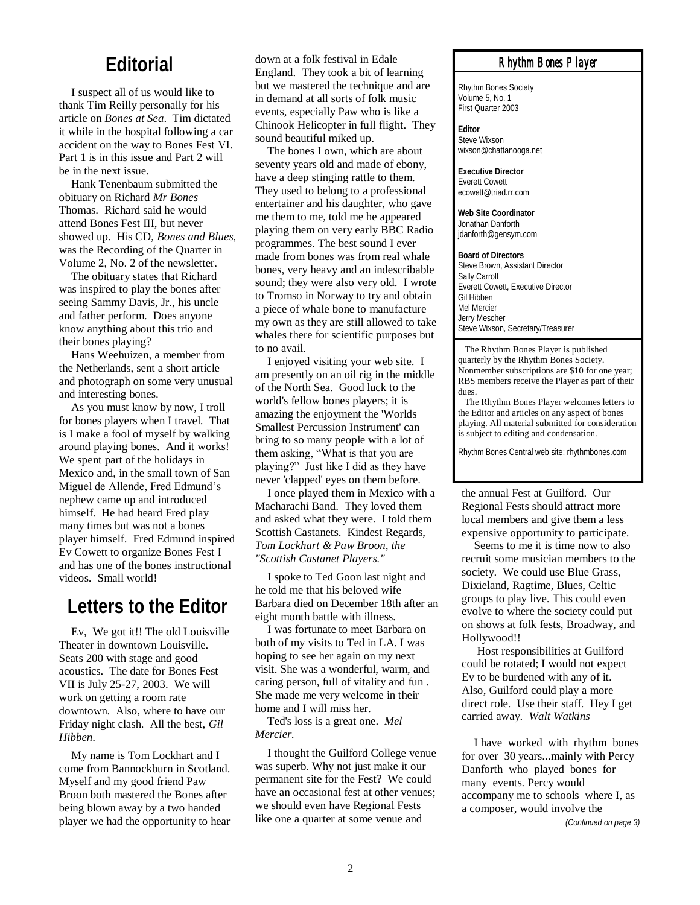### **Editorial**

I suspect all of us would like to thank Tim Reilly personally for his article on *Bones at Sea*. Tim dictated it while in the hospital following a car accident on the way to Bones Fest VI. Part 1 is in this issue and Part 2 will be in the next issue.

Hank Tenenbaum submitted the obituary on Richard *Mr Bones*  Thomas. Richard said he would attend Bones Fest III, but never showed up. His CD, *Bones and Blues,* was the Recording of the Quarter in Volume 2, No. 2 of the newsletter.

The obituary states that Richard was inspired to play the bones after seeing Sammy Davis, Jr., his uncle and father perform. Does anyone know anything about this trio and their bones playing?

Hans Weehuizen, a member from the Netherlands, sent a short article and photograph on some very unusual and interesting bones.

As you must know by now, I troll for bones players when I travel. That is I make a fool of myself by walking around playing bones. And it works! We spent part of the holidays in Mexico and, in the small town of San Miguel de Allende, Fred Edmund"s nephew came up and introduced himself. He had heard Fred play many times but was not a bones player himself. Fred Edmund inspired Ev Cowett to organize Bones Fest I and has one of the bones instructional videos. Small world!

# **Letters to the Editor**

Ev, We got it!! The old Louisville Theater in downtown Louisville. Seats 200 with stage and good acoustics. The date for Bones Fest VII is July 25-27, 2003. We will work on getting a room rate downtown. Also, where to have our Friday night clash. All the best, *Gil Hibben*.

My name is Tom Lockhart and I come from Bannockburn in Scotland. Myself and my good friend Paw Broon both mastered the Bones after being blown away by a two handed player we had the opportunity to hear

down at a folk festival in Edale England. They took a bit of learning but we mastered the technique and are in demand at all sorts of folk music events, especially Paw who is like a Chinook Helicopter in full flight. They sound beautiful miked up.

The bones I own, which are about seventy years old and made of ebony, have a deep stinging rattle to them. They used to belong to a professional entertainer and his daughter, who gave me them to me, told me he appeared playing them on very early BBC Radio programmes. The best sound I ever made from bones was from real whale bones, very heavy and an indescribable sound; they were also very old. I wrote to Tromso in Norway to try and obtain a piece of whale bone to manufacture my own as they are still allowed to take whales there for scientific purposes but to no avail.

I enjoyed visiting your web site. I am presently on an oil rig in the middle of the North Sea. Good luck to the world's fellow bones players; it is amazing the enjoyment the 'Worlds Smallest Percussion Instrument' can bring to so many people with a lot of them asking, "What is that you are playing?" Just like I did as they have never 'clapped' eyes on them before.

I once played them in Mexico with a Macharachi Band. They loved them and asked what they were. I told them Scottish Castanets. Kindest Regards, *Tom Lockhart & Paw Broon, the "Scottish Castanet Players."* 

I spoke to Ted Goon last night and he told me that his beloved wife Barbara died on December 18th after an eight month battle with illness.

I was fortunate to meet Barbara on both of my visits to Ted in LA. I was hoping to see her again on my next visit. She was a wonderful, warm, and caring person, full of vitality and fun . She made me very welcome in their home and I will miss her.

Ted's loss is a great one. *Mel Mercier.*

I thought the Guilford College venue was superb. Why not just make it our permanent site for the Fest? We could have an occasional fest at other venues; we should even have Regional Fests like one a quarter at some venue and

#### *Rhythm Bones Player*

Rhythm Bones Society Volume 5, No. 1 First Quarter 2003

**Editor** Steve Wixson wixson@chattanooga.net

**Executive Director** Everett Cowett ecowett@triad.rr.com

**Web Site Coordinator** Jonathan Danforth jdanforth@gensym.com

**Board of Directors** Steve Brown, Assistant Director Sally Carroll Everett Cowett, Executive Director Gil Hibben Mel Mercier Jerry Mescher Steve Wixson, Secretary/Treasurer

 The Rhythm Bones Player is published quarterly by the Rhythm Bones Society. Nonmember subscriptions are \$10 for one year; RBS members receive the Player as part of their dues.

 The Rhythm Bones Player welcomes letters to the Editor and articles on any aspect of bones playing. All material submitted for consideration is subject to editing and condensation.

Rhythm Bones Central web site: rhythmbones.com

the annual Fest at Guilford. Our Regional Fests should attract more local members and give them a less expensive opportunity to participate.

Seems to me it is time now to also recruit some musician members to the society. We could use Blue Grass, Dixieland, Ragtime, Blues, Celtic groups to play live. This could even evolve to where the society could put on shows at folk fests, Broadway, and Hollywood!!

Host responsibilities at Guilford could be rotated; I would not expect Ev to be burdened with any of it. Also, Guilford could play a more direct role. Use their staff. Hey I get carried away. *Walt Watkins*

I have worked with rhythm bones for over 30 years...mainly with Percy Danforth who played bones for many events. Percy would accompany me to schools where I, as a composer, would involve the

*(Continued on page 3)*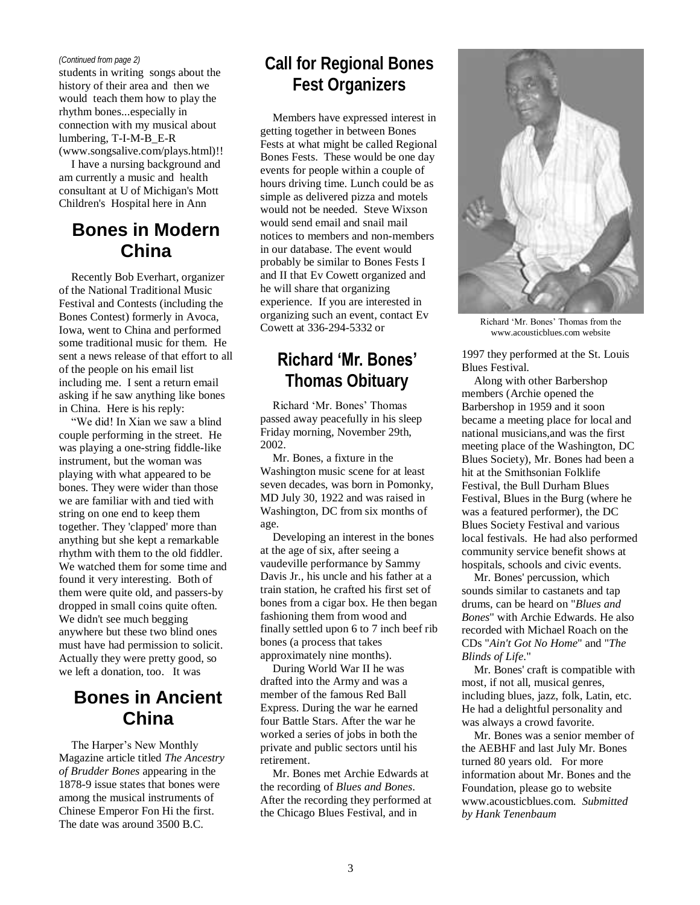students in writing songs about the history of their area and then we would teach them how to play the rhythm bones...especially in connection with my musical about lumbering, T-I-M-B\_E-R (www.songsalive.com/plays.html)!!

I have a nursing background and am currently a music and health consultant at U of Michigan's Mott

Children's Hospital here in Ann

**Bones in Modern China**

Recently Bob Everhart, organizer of the National Traditional Music Festival and Contests (including the Bones Contest) formerly in Avoca, Iowa, went to China and performed some traditional music for them. He sent a news release of that effort to all of the people on his email list including me. I sent a return email asking if he saw anything like bones in China. Here is his reply:

"We did! In Xian we saw a blind couple performing in the street. He was playing a one-string fiddle-like instrument, but the woman was playing with what appeared to be bones. They were wider than those we are familiar with and tied with string on one end to keep them together. They 'clapped' more than anything but she kept a remarkable rhythm with them to the old fiddler. We watched them for some time and found it very interesting. Both of them were quite old, and passers-by dropped in small coins quite often. We didn't see much begging anywhere but these two blind ones must have had permission to solicit. Actually they were pretty good, so we left a donation, too. It was

## **Bones in Ancient China**

The Harper"s New Monthly Magazine article titled *The Ancestry of Brudder Bones* appearing in the 1878-9 issue states that bones were among the musical instruments of Chinese Emperor Fon Hi the first. The date was around 3500 B.C.

# *(Continued from page 2)* **Call for Regional Bones Fest Organizers**

Members have expressed interest in getting together in between Bones Fests at what might be called Regional Bones Fests. These would be one day events for people within a couple of hours driving time. Lunch could be as simple as delivered pizza and motels would not be needed. Steve Wixson would send email and snail mail notices to members and non-members in our database. The event would probably be similar to Bones Fests I and II that Ev Cowett organized and he will share that organizing experience. If you are interested in organizing such an event, contact Ev Cowett at 336-294-5332 or

# **Richard 'Mr. Bones' Thomas Obituary**

Richard "Mr. Bones" Thomas passed away peacefully in his sleep Friday morning, November 29th, 2002.

Mr. Bones, a fixture in the Washington music scene for at least seven decades, was born in Pomonky, MD July 30, 1922 and was raised in Washington, DC from six months of age.

Developing an interest in the bones at the age of six, after seeing a vaudeville performance by Sammy Davis Jr., his uncle and his father at a train station, he crafted his first set of bones from a cigar box. He then began fashioning them from wood and finally settled upon 6 to 7 inch beef rib bones (a process that takes approximately nine months).

During World War II he was drafted into the Army and was a member of the famous Red Ball Express. During the war he earned four Battle Stars. After the war he worked a series of jobs in both the private and public sectors until his retirement.

Mr. Bones met Archie Edwards at the recording of *Blues and Bones*. After the recording they performed at the Chicago Blues Festival, and in



Richard "Mr. Bones" Thomas from the www.acousticblues.com website

1997 they performed at the St. Louis Blues Festival.

Along with other Barbershop members (Archie opened the Barbershop in 1959 and it soon became a meeting place for local and national musicians,and was the first meeting place of the Washington, DC Blues Society), Mr. Bones had been a hit at the Smithsonian Folklife Festival, the Bull Durham Blues Festival, Blues in the Burg (where he was a featured performer), the DC Blues Society Festival and various local festivals. He had also performed community service benefit shows at hospitals, schools and civic events.

Mr. Bones' percussion, which sounds similar to castanets and tap drums, can be heard on "*Blues and Bones*" with Archie Edwards. He also recorded with Michael Roach on the CDs "*Ain't Got No Home*" and "*The Blinds of Life*."

Mr. Bones' craft is compatible with most, if not all, musical genres, including blues, jazz, folk, Latin, etc. He had a delightful personality and was always a crowd favorite.

Mr. Bones was a senior member of the AEBHF and last July Mr. Bones turned 80 years old. For more information about Mr. Bones and the Foundation, please go to website www.acousticblues.com. *Submitted by Hank Tenenbaum*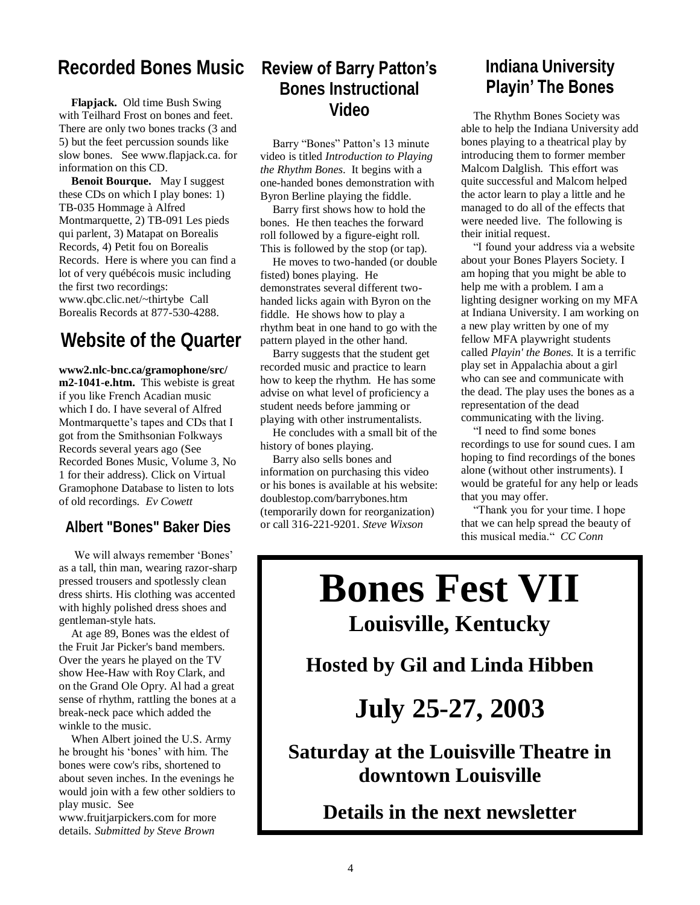### **Recorded Bones Music**

**Flapjack.** Old time Bush Swing with Teilhard Frost on bones and feet. There are only two bones tracks (3 and 5) but the feet percussion sounds like slow bones. See www.flapjack.ca. for information on this CD.

**Benoit Bourque.** May I suggest these CDs on which I play bones: 1) TB-035 Hommage à Alfred Montmarquette, 2) TB-091 Les pieds qui parlent, 3) Matapat on Borealis Records, 4) Petit fou on Borealis Records. Here is where you can find a lot of very québécois music including the first two recordings: www.qbc.clic.net/~thirtybe Call Borealis Records at 877-530-4288.

# **Website of the Quarter**

**www2.nlc-bnc.ca/gramophone/src/ m2-1041-e.htm.** This webiste is great if you like French Acadian music which I do. I have several of Alfred Montmarquette's tapes and CDs that I got from the Smithsonian Folkways Records several years ago (See Recorded Bones Music, Volume 3, No 1 for their address). Click on Virtual Gramophone Database to listen to lots of old recordings. *Ev Cowett*

#### **Albert "Bones" Baker Dies**

We will always remember 'Bones' as a tall, thin man, wearing razor-sharp pressed trousers and spotlessly clean dress shirts. His clothing was accented with highly polished dress shoes and gentleman-style hats.

At age 89, Bones was the eldest of the Fruit Jar Picker's band members. Over the years he played on the TV show Hee-Haw with Roy Clark, and on the Grand Ole Opry. Al had a great sense of rhythm, rattling the bones at a break-neck pace which added the winkle to the music.

When Albert joined the U.S. Army he brought his "bones" with him. The bones were cow's ribs, shortened to about seven inches. In the evenings he would join with a few other soldiers to play music. See

www.fruitjarpickers.com for more details. *Submitted by Steve Brown*

#### **Review of Barry Patton's Bones Instructional Video**

Barry "Bones" Patton's 13 minute video is titled *Introduction to Playing the Rhythm Bones*. It begins with a one-handed bones demonstration with

Byron Berline playing the fiddle. Barry first shows how to hold the bones. He then teaches the forward roll followed by a figure-eight roll. This is followed by the stop (or tap).

He moves to two-handed (or double fisted) bones playing. He demonstrates several different twohanded licks again with Byron on the fiddle. He shows how to play a rhythm beat in one hand to go with the pattern played in the other hand.

Barry suggests that the student get recorded music and practice to learn how to keep the rhythm. He has some advise on what level of proficiency a student needs before jamming or playing with other instrumentalists.

He concludes with a small bit of the history of bones playing.

Barry also sells bones and information on purchasing this video or his bones is available at his website: doublestop.com/barrybones.htm (temporarily down for reorganization) or call 316-221-9201. *Steve Wixson*

## **Indiana University Playin' The Bones**

The Rhythm Bones Society was able to help the Indiana University add bones playing to a theatrical play by introducing them to former member Malcom Dalglish. This effort was quite successful and Malcom helped the actor learn to play a little and he managed to do all of the effects that were needed live. The following is their initial request.

"I found your address via a website about your Bones Players Society. I am hoping that you might be able to help me with a problem. I am a lighting designer working on my MFA at Indiana University. I am working on a new play written by one of my fellow MFA playwright students called *Playin' the Bones.* It is a terrific play set in Appalachia about a girl who can see and communicate with the dead. The play uses the bones as a representation of the dead communicating with the living.

"I need to find some bones recordings to use for sound cues. I am hoping to find recordings of the bones alone (without other instruments). I would be grateful for any help or leads that you may offer.

"Thank you for your time. I hope that we can help spread the beauty of this musical media." *CC Conn*

# **Bones Fest VII Louisville, Kentucky**

**Hosted by Gil and Linda Hibben**

# **July 25-27, 2003**

**Saturday at the Louisville Theatre in downtown Louisville**

**Details in the next newsletter**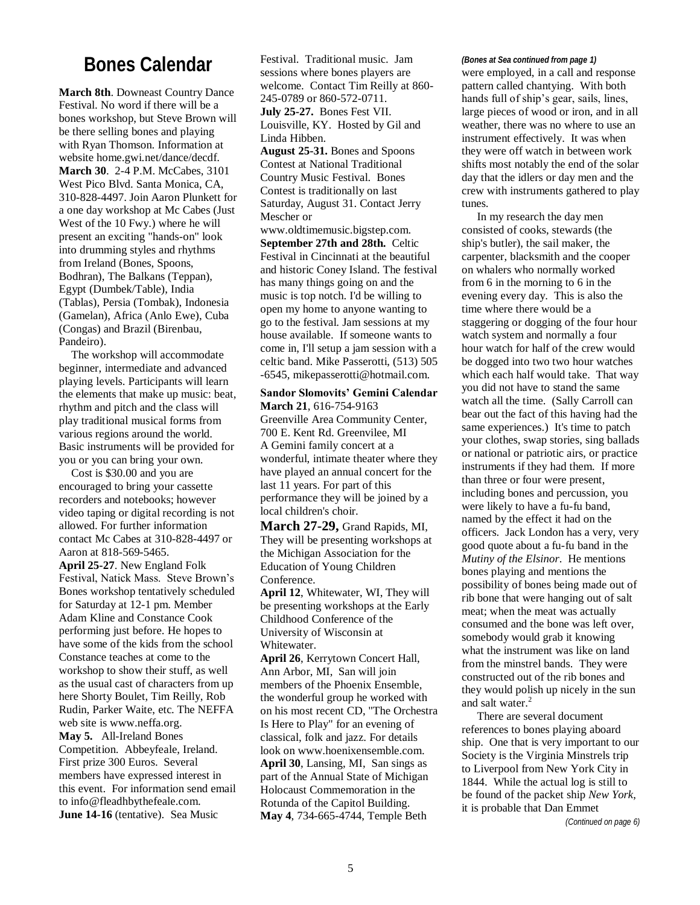## **Bones Calendar**

**March 8th**. Downeast Country Dance Festival. No word if there will be a bones workshop, but Steve Brown will be there selling bones and playing with Ryan Thomson. Information at website home.gwi.net/dance/decdf. **March 30**. 2-4 P.M. McCabes, 3101 West Pico Blvd. Santa Monica, CA, 310-828-4497. Join Aaron Plunkett for a one day workshop at Mc Cabes (Just West of the 10 Fwy.) where he will present an exciting "hands-on" look into drumming styles and rhythms from Ireland (Bones, Spoons, Bodhran), The Balkans (Teppan), Egypt (Dumbek/Table), India (Tablas), Persia (Tombak), Indonesia (Gamelan), Africa (Anlo Ewe), Cuba (Congas) and Brazil (Birenbau, Pandeiro).

The workshop will accommodate beginner, intermediate and advanced playing levels. Participants will learn the elements that make up music: beat, rhythm and pitch and the class will play traditional musical forms from various regions around the world. Basic instruments will be provided for you or you can bring your own.

Cost is \$30.00 and you are encouraged to bring your cassette recorders and notebooks; however video taping or digital recording is not allowed. For further information contact Mc Cabes at 310-828-4497 or Aaron at 818-569-5465.

**April 25-27**. New England Folk Festival, Natick Mass. Steve Brown"s Bones workshop tentatively scheduled for Saturday at 12-1 pm. Member Adam Kline and Constance Cook performing just before. He hopes to have some of the kids from the school Constance teaches at come to the workshop to show their stuff, as well as the usual cast of characters from up here Shorty Boulet, Tim Reilly, Rob Rudin, Parker Waite, etc. The NEFFA web site is www.neffa.org. **May 5.** All-Ireland Bones Competition. Abbeyfeale, Ireland. First prize 300 Euros. Several members have expressed interest in this event. For information send email to info@fleadhbythefeale.com. **June 14-16** (tentative). Sea Music

Festival. Traditional music. Jam sessions where bones players are welcome. Contact Tim Reilly at 860- 245-0789 or 860-572-0711. **July 25-27.** Bones Fest VII. Louisville, KY. Hosted by Gil and Linda Hibben.

**August 25-31.** Bones and Spoons Contest at National Traditional Country Music Festival. Bones Contest is traditionally on last Saturday, August 31. Contact Jerry Mescher or

www.oldtimemusic.bigstep.com. **September 27th and 28th.** Celtic Festival in Cincinnati at the beautiful and historic Coney Island. The festival has many things going on and the music is top notch. I'd be willing to open my home to anyone wanting to go to the festival. Jam sessions at my house available. If someone wants to come in, I'll setup a jam session with a celtic band. Mike Passerotti, (513) 505 -6545, mikepasserotti@hotmail.com.

**Sandor Slomovits' Gemini Calendar March 21**, 616-754-9163 Greenville Area Community Center, 700 E. Kent Rd. Greenvilee, MI A Gemini family concert at a wonderful, intimate theater where they have played an annual concert for the last 11 years. For part of this performance they will be joined by a local children's choir.

**March 27-29,** Grand Rapids, MI, They will be presenting workshops at the Michigan Association for the Education of Young Children Conference.

**April 12**, Whitewater, WI, They will be presenting workshops at the Early Childhood Conference of the University of Wisconsin at Whitewater.

**April 26**, Kerrytown Concert Hall, Ann Arbor, MI, San will join members of the Phoenix Ensemble, the wonderful group he worked with on his most recent CD, "The Orchestra Is Here to Play" for an evening of classical, folk and jazz. For details look on www.hoenixensemble.com. **April 30**, Lansing, MI, San sings as part of the Annual State of Michigan Holocaust Commemoration in the Rotunda of the Capitol Building. **May 4**, 734-665-4744, Temple Beth

#### *(Bones at Sea continued from page 1)*

were employed, in a call and response pattern called chantying. With both hands full of ship's gear, sails, lines, large pieces of wood or iron, and in all weather, there was no where to use an instrument effectively. It was when they were off watch in between work shifts most notably the end of the solar day that the idlers or day men and the crew with instruments gathered to play tunes.

In my research the day men consisted of cooks, stewards (the ship's butler), the sail maker, the carpenter, blacksmith and the cooper on whalers who normally worked from 6 in the morning to 6 in the evening every day. This is also the time where there would be a staggering or dogging of the four hour watch system and normally a four hour watch for half of the crew would be dogged into two two hour watches which each half would take. That way you did not have to stand the same watch all the time. (Sally Carroll can bear out the fact of this having had the same experiences.) It's time to patch your clothes, swap stories, sing ballads or national or patriotic airs, or practice instruments if they had them. If more than three or four were present, including bones and percussion, you were likely to have a fu-fu band, named by the effect it had on the officers. Jack London has a very, very good quote about a fu-fu band in the *Mutiny of the Elsinor*. He mentions bones playing and mentions the possibility of bones being made out of rib bone that were hanging out of salt meat; when the meat was actually consumed and the bone was left over, somebody would grab it knowing what the instrument was like on land from the minstrel bands. They were constructed out of the rib bones and they would polish up nicely in the sun and salt water.<sup>2</sup>

There are several document references to bones playing aboard ship. One that is very important to our Society is the Virginia Minstrels trip to Liverpool from New York City in 1844. While the actual log is still to be found of the packet ship *New York*, it is probable that Dan Emmet

*(Continued on page 6)*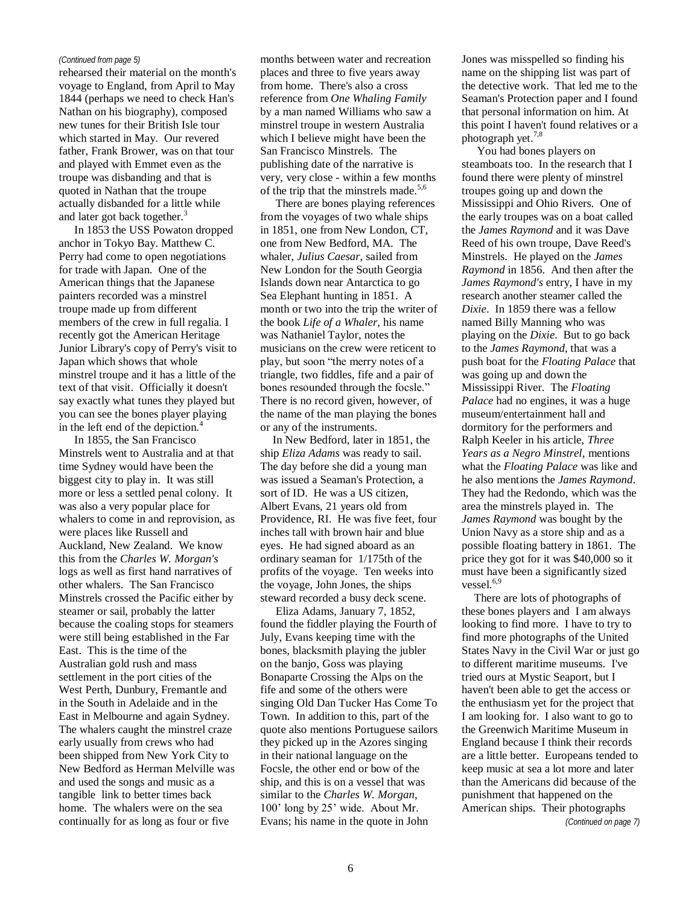rehearsed their material on the month's voyage to England, from April to May 1844 (perhaps we need to check Han's Nathan on his biography), composed new tunes for their British Isle tour which started in May. Our revered father, Frank Brower, was on that tour and played with Emmet even as the troupe was disbanding and that is quoted in Nathan that the troupe actually disbanded for a little while and later got back together.<sup>3</sup>

In 1853 the USS Powaton dropped anchor in Tokyo Bay. Matthew C. Perry had come to open negotiations for trade with Japan. One of the American things that the Japanese painters recorded was a minstrel troupe made up from different members of the crew in full regalia. I recently got the American Heritage Junior Library's copy of Perry's visit to Japan which shows that whole minstrel troupe and it has a little of the text of that visit. Officially it doesn't say exactly what tunes they played but you can see the bones player playing in the left end of the depiction.<sup>4</sup>

In 1855, the San Francisco Minstrels went to Australia and at that time Sydney would have been the biggest city to play in. It was still more or less a settled penal colony. It was also a very popular place for whalers to come in and reprovision, as were places like Russell and Auckland, New Zealand. We know this from the *Charles W. Morgan's* logs as well as first hand narratives of other whalers. The San Francisco Minstrels crossed the Pacific either by steamer or sail, probably the latter because the coaling stops for steamers were still being established in the Far East. This is the time of the Australian gold rush and mass settlement in the port cities of the West Perth, Dunbury, Fremantle and in the South in Adelaide and in the East in Melbourne and again Sydney. The whalers caught the minstrel craze early usually from crews who had been shipped from New York City to New Bedford as Herman Melville was and used the songs and music as a tangible link to better times back home. The whalers were on the sea continually for as long as four or five

*(Continued from page 5)* months between water and recreation places and three to five years away from home. There's also a cross reference from *One Whaling Family* by a man named Williams who saw a minstrel troupe in western Australia which I believe might have been the San Francisco Minstrels. The publishing date of the narrative is very, very close - within a few months of the trip that the minstrels made.<sup>5,6</sup>

> There are bones playing references from the voyages of two whale ships in 1851, one from New London, CT, one from New Bedford, MA. The whaler, *Julius Caesar*, sailed from New London for the South Georgia Islands down near Antarctica to go Sea Elephant hunting in 1851. A month or two into the trip the writer of the book *Life of a Whaler*, his name was Nathaniel Taylor, notes the musicians on the crew were reticent to play, but soon "the merry notes of a triangle, two fiddles, fife and a pair of bones resounded through the focsle." There is no record given, however, of the name of the man playing the bones or any of the instruments.

> In New Bedford, later in 1851, the ship *Eliza Adams* was ready to sail. The day before she did a young man was issued a Seaman's Protection, a sort of ID. He was a US citizen, Albert Evans, 21 years old from Providence, RI. He was five feet, four inches tall with brown hair and blue eyes. He had signed aboard as an ordinary seaman for 1/175th of the profits of the voyage. Ten weeks into the voyage, John Jones, the ships steward recorded a busy deck scene.

> Eliza Adams, January 7, 1852, found the fiddler playing the Fourth of July, Evans keeping time with the bones, blacksmith playing the jubler on the banjo, Goss was playing Bonaparte Crossing the Alps on the fife and some of the others were singing Old Dan Tucker Has Come To Town. In addition to this, part of the quote also mentions Portuguese sailors they picked up in the Azores singing in their national language on the Focsle, the other end or bow of the ship, and this is on a vessel that was similar to the *Charles W. Morgan*, 100' long by 25' wide. About Mr. Evans; his name in the quote in John

Jones was misspelled so finding his name on the shipping list was part of the detective work. That led me to the Seaman's Protection paper and I found that personal information on him. At this point I haven't found relatives or a photograph yet.7,8

You had bones players on steamboats too. In the research that I found there were plenty of minstrel troupes going up and down the Mississippi and Ohio Rivers. One of the early troupes was on a boat called the *James Raymond* and it was Dave Reed of his own troupe, Dave Reed's Minstrels. He played on the *James Raymond* in 1856. And then after the *James Raymond's* entry, I have in my research another steamer called the *Dixie*. In 1859 there was a fellow named Billy Manning who was playing on the *Dixie*. But to go back to the *James Raymond*, that was a push boat for the *Floating Palace* that was going up and down the Mississippi River. The *Floating Palace* had no engines, it was a huge museum/entertainment hall and dormitory for the performers and Ralph Keeler in his article, *Three Years as a Negro Minstrel*, mentions what the *Floating Palace* was like and he also mentions the *James Raymond*. They had the Redondo, which was the area the minstrels played in. The *James Raymond* was bought by the Union Navy as a store ship and as a possible floating battery in 1861. The price they got for it was \$40,000 so it must have been a significantly sized vessel.<sup>6,9</sup>

There are lots of photographs of these bones players and I am always looking to find more. I have to try to find more photographs of the United States Navy in the Civil War or just go to different maritime museums. I've tried ours at Mystic Seaport, but I haven't been able to get the access or the enthusiasm yet for the project that I am looking for. I also want to go to the Greenwich Maritime Museum in England because I think their records are a little better. Europeans tended to keep music at sea a lot more and later than the Americans did because of the punishment that happened on the American ships. Their photographs

*(Continued on page 7)*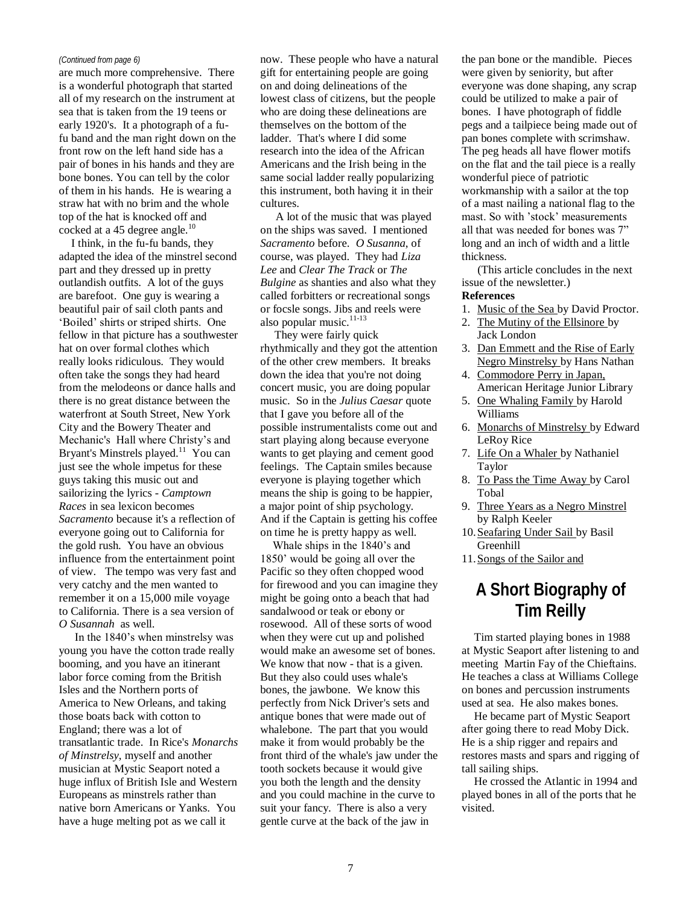are much more comprehensive. There is a wonderful photograph that started all of my research on the instrument at sea that is taken from the 19 teens or early 1920's. It a photograph of a fufu band and the man right down on the front row on the left hand side has a pair of bones in his hands and they are bone bones. You can tell by the color of them in his hands. He is wearing a straw hat with no brim and the whole top of the hat is knocked off and cocked at a 45 degree angle. $^{10}$ 

I think, in the fu-fu bands, they adapted the idea of the minstrel second part and they dressed up in pretty outlandish outfits. A lot of the guys are barefoot. One guy is wearing a beautiful pair of sail cloth pants and "Boiled" shirts or striped shirts. One fellow in that picture has a southwester hat on over formal clothes which really looks ridiculous. They would often take the songs they had heard from the melodeons or dance halls and there is no great distance between the waterfront at South Street, New York City and the Bowery Theater and Mechanic's Hall where Christy's and Bryant's Minstrels played.<sup>11</sup> You can just see the whole impetus for these guys taking this music out and sailorizing the lyrics - *Camptown Races* in sea lexicon becomes *Sacramento* because it's a reflection of everyone going out to California for the gold rush. You have an obvious influence from the entertainment point of view. The tempo was very fast and very catchy and the men wanted to remember it on a 15,000 mile voyage to California. There is a sea version of *O Susannah* as well.

In the 1840"s when minstrelsy was young you have the cotton trade really booming, and you have an itinerant labor force coming from the British Isles and the Northern ports of America to New Orleans, and taking those boats back with cotton to England; there was a lot of transatlantic trade. In Rice's *Monarchs of Minstrelsy*, myself and another musician at Mystic Seaport noted a huge influx of British Isle and Western Europeans as minstrels rather than native born Americans or Yanks. You have a huge melting pot as we call it

*(Continued from page 6)* now. These people who have a natural gift for entertaining people are going on and doing delineations of the lowest class of citizens, but the people who are doing these delineations are themselves on the bottom of the ladder. That's where I did some research into the idea of the African Americans and the Irish being in the same social ladder really popularizing this instrument, both having it in their cultures.

> A lot of the music that was played on the ships was saved. I mentioned *Sacramento* before. *O Susanna*, of course, was played. They had *Liza Lee* and *Clear The Track* or *The Bulgine* as shanties and also what they called forbitters or recreational songs or focsle songs. Jibs and reels were also popular music.<sup>11-13</sup>

> They were fairly quick rhythmically and they got the attention of the other crew members. It breaks down the idea that you're not doing concert music, you are doing popular music. So in the *Julius Caesar* quote that I gave you before all of the possible instrumentalists come out and start playing along because everyone wants to get playing and cement good feelings. The Captain smiles because everyone is playing together which means the ship is going to be happier, a major point of ship psychology. And if the Captain is getting his coffee on time he is pretty happy as well.

> Whale ships in the 1840"s and 1850" would be going all over the Pacific so they often chopped wood for firewood and you can imagine they might be going onto a beach that had sandalwood or teak or ebony or rosewood. All of these sorts of wood when they were cut up and polished would make an awesome set of bones. We know that now - that is a given. But they also could uses whale's bones, the jawbone. We know this perfectly from Nick Driver's sets and antique bones that were made out of whalebone. The part that you would make it from would probably be the front third of the whale's jaw under the tooth sockets because it would give you both the length and the density and you could machine in the curve to suit your fancy. There is also a very gentle curve at the back of the jaw in

the pan bone or the mandible. Pieces were given by seniority, but after everyone was done shaping, any scrap could be utilized to make a pair of bones. I have photograph of fiddle pegs and a tailpiece being made out of pan bones complete with scrimshaw. The peg heads all have flower motifs on the flat and the tail piece is a really wonderful piece of patriotic workmanship with a sailor at the top of a mast nailing a national flag to the mast. So with "stock" measurements all that was needed for bones was 7" long and an inch of width and a little thickness.

(This article concludes in the next issue of the newsletter.)

#### **References**

- 1. Music of the Sea by David Proctor.
- 2. The Mutiny of the Ellsinore by Jack London
- 3. Dan Emmett and the Rise of Early Negro Minstrelsy by Hans Nathan
- 4. Commodore Perry in Japan, American Heritage Junior Library
- 5. One Whaling Family by Harold Williams
- 6. Monarchs of Minstrelsy by Edward LeRoy Rice
- 7. Life On a Whaler by Nathaniel Taylor
- 8. To Pass the Time Away by Carol Tobal
- 9. Three Years as a Negro Minstrel by Ralph Keeler
- 10.Seafaring Under Sail by Basil Greenhill
- 11.Songs of the Sailor and

## **A Short Biography of Tim Reilly**

Tim started playing bones in 1988 at Mystic Seaport after listening to and meeting Martin Fay of the Chieftains. He teaches a class at Williams College on bones and percussion instruments used at sea. He also makes bones.

He became part of Mystic Seaport after going there to read Moby Dick. He is a ship rigger and repairs and restores masts and spars and rigging of tall sailing ships.

He crossed the Atlantic in 1994 and played bones in all of the ports that he visited.